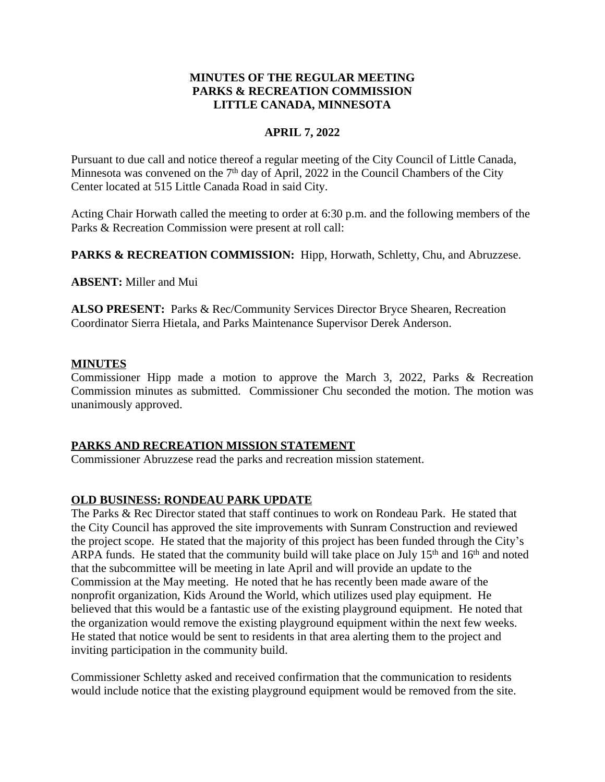## **MINUTES OF THE REGULAR MEETING PARKS & RECREATION COMMISSION LITTLE CANADA, MINNESOTA**

## **APRIL 7, 2022**

Pursuant to due call and notice thereof a regular meeting of the City Council of Little Canada, Minnesota was convened on the  $7<sup>th</sup>$  day of April, 2022 in the Council Chambers of the City Center located at 515 Little Canada Road in said City.

Acting Chair Horwath called the meeting to order at 6:30 p.m. and the following members of the Parks & Recreation Commission were present at roll call:

PARKS & RECREATION COMMISSION: Hipp, Horwath, Schletty, Chu, and Abruzzese.

**ABSENT:** Miller and Mui

**ALSO PRESENT:** Parks & Rec/Community Services Director Bryce Shearen, Recreation Coordinator Sierra Hietala, and Parks Maintenance Supervisor Derek Anderson.

### **MINUTES**

Commissioner Hipp made a motion to approve the March 3, 2022, Parks & Recreation Commission minutes as submitted. Commissioner Chu seconded the motion. The motion was unanimously approved.

## **PARKS AND RECREATION MISSION STATEMENT**

Commissioner Abruzzese read the parks and recreation mission statement.

## **OLD BUSINESS: RONDEAU PARK UPDATE**

The Parks & Rec Director stated that staff continues to work on Rondeau Park. He stated that the City Council has approved the site improvements with Sunram Construction and reviewed the project scope. He stated that the majority of this project has been funded through the City's ARPA funds. He stated that the community build will take place on July  $15<sup>th</sup>$  and  $16<sup>th</sup>$  and noted that the subcommittee will be meeting in late April and will provide an update to the Commission at the May meeting. He noted that he has recently been made aware of the nonprofit organization, Kids Around the World, which utilizes used play equipment. He believed that this would be a fantastic use of the existing playground equipment. He noted that the organization would remove the existing playground equipment within the next few weeks. He stated that notice would be sent to residents in that area alerting them to the project and inviting participation in the community build.

Commissioner Schletty asked and received confirmation that the communication to residents would include notice that the existing playground equipment would be removed from the site.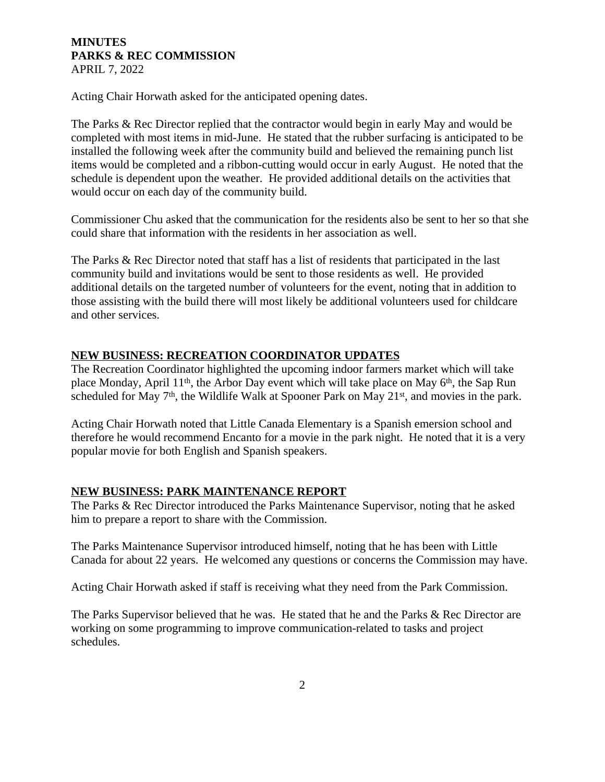Acting Chair Horwath asked for the anticipated opening dates.

The Parks & Rec Director replied that the contractor would begin in early May and would be completed with most items in mid-June. He stated that the rubber surfacing is anticipated to be installed the following week after the community build and believed the remaining punch list items would be completed and a ribbon-cutting would occur in early August. He noted that the schedule is dependent upon the weather. He provided additional details on the activities that would occur on each day of the community build.

Commissioner Chu asked that the communication for the residents also be sent to her so that she could share that information with the residents in her association as well.

The Parks & Rec Director noted that staff has a list of residents that participated in the last community build and invitations would be sent to those residents as well. He provided additional details on the targeted number of volunteers for the event, noting that in addition to those assisting with the build there will most likely be additional volunteers used for childcare and other services.

## **NEW BUSINESS: RECREATION COORDINATOR UPDATES**

The Recreation Coordinator highlighted the upcoming indoor farmers market which will take place Monday, April 11th, the Arbor Day event which will take place on May 6th, the Sap Run scheduled for May 7<sup>th</sup>, the Wildlife Walk at Spooner Park on May 21<sup>st</sup>, and movies in the park.

Acting Chair Horwath noted that Little Canada Elementary is a Spanish emersion school and therefore he would recommend Encanto for a movie in the park night. He noted that it is a very popular movie for both English and Spanish speakers.

#### **NEW BUSINESS: PARK MAINTENANCE REPORT**

The Parks & Rec Director introduced the Parks Maintenance Supervisor, noting that he asked him to prepare a report to share with the Commission.

The Parks Maintenance Supervisor introduced himself, noting that he has been with Little Canada for about 22 years. He welcomed any questions or concerns the Commission may have.

Acting Chair Horwath asked if staff is receiving what they need from the Park Commission.

The Parks Supervisor believed that he was. He stated that he and the Parks & Rec Director are working on some programming to improve communication-related to tasks and project schedules.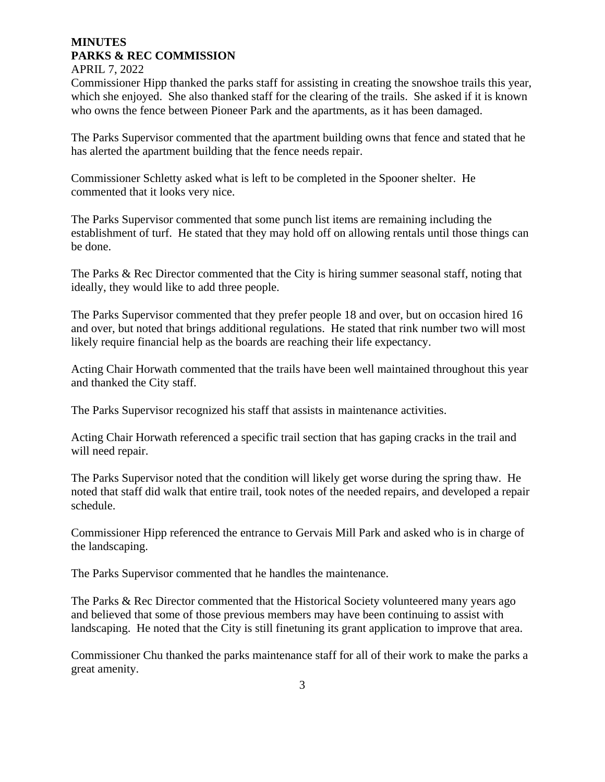## Commissioner Hipp thanked the parks staff for assisting in creating the snowshoe trails this year, which she enjoyed. She also thanked staff for the clearing of the trails. She asked if it is known who owns the fence between Pioneer Park and the apartments, as it has been damaged.

The Parks Supervisor commented that the apartment building owns that fence and stated that he has alerted the apartment building that the fence needs repair.

Commissioner Schletty asked what is left to be completed in the Spooner shelter. He commented that it looks very nice.

The Parks Supervisor commented that some punch list items are remaining including the establishment of turf. He stated that they may hold off on allowing rentals until those things can be done.

The Parks & Rec Director commented that the City is hiring summer seasonal staff, noting that ideally, they would like to add three people.

The Parks Supervisor commented that they prefer people 18 and over, but on occasion hired 16 and over, but noted that brings additional regulations. He stated that rink number two will most likely require financial help as the boards are reaching their life expectancy.

Acting Chair Horwath commented that the trails have been well maintained throughout this year and thanked the City staff.

The Parks Supervisor recognized his staff that assists in maintenance activities.

Acting Chair Horwath referenced a specific trail section that has gaping cracks in the trail and will need repair.

The Parks Supervisor noted that the condition will likely get worse during the spring thaw. He noted that staff did walk that entire trail, took notes of the needed repairs, and developed a repair schedule.

Commissioner Hipp referenced the entrance to Gervais Mill Park and asked who is in charge of the landscaping.

The Parks Supervisor commented that he handles the maintenance.

The Parks & Rec Director commented that the Historical Society volunteered many years ago and believed that some of those previous members may have been continuing to assist with landscaping. He noted that the City is still finetuning its grant application to improve that area.

Commissioner Chu thanked the parks maintenance staff for all of their work to make the parks a great amenity.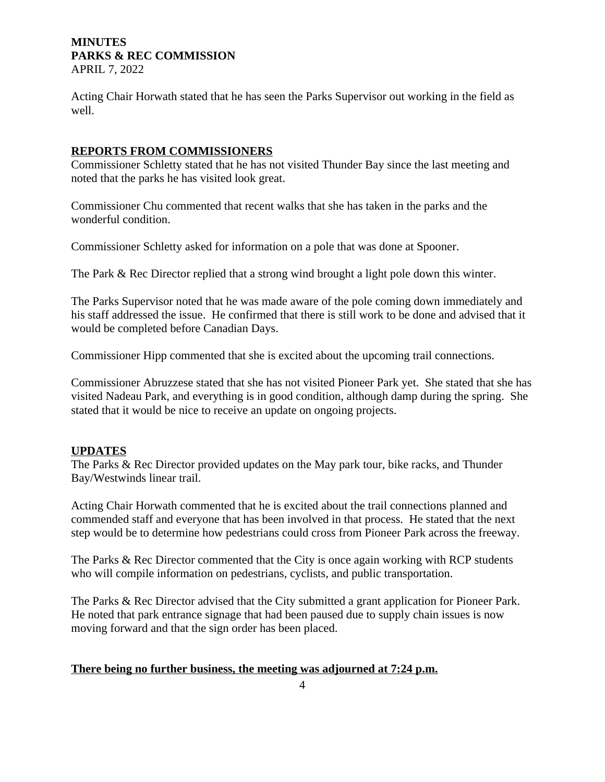Acting Chair Horwath stated that he has seen the Parks Supervisor out working in the field as well.

### **REPORTS FROM COMMISSIONERS**

Commissioner Schletty stated that he has not visited Thunder Bay since the last meeting and noted that the parks he has visited look great.

Commissioner Chu commented that recent walks that she has taken in the parks and the wonderful condition.

Commissioner Schletty asked for information on a pole that was done at Spooner.

The Park & Rec Director replied that a strong wind brought a light pole down this winter.

The Parks Supervisor noted that he was made aware of the pole coming down immediately and his staff addressed the issue. He confirmed that there is still work to be done and advised that it would be completed before Canadian Days.

Commissioner Hipp commented that she is excited about the upcoming trail connections.

Commissioner Abruzzese stated that she has not visited Pioneer Park yet. She stated that she has visited Nadeau Park, and everything is in good condition, although damp during the spring. She stated that it would be nice to receive an update on ongoing projects.

## **UPDATES**

The Parks & Rec Director provided updates on the May park tour, bike racks, and Thunder Bay/Westwinds linear trail.

Acting Chair Horwath commented that he is excited about the trail connections planned and commended staff and everyone that has been involved in that process. He stated that the next step would be to determine how pedestrians could cross from Pioneer Park across the freeway.

The Parks & Rec Director commented that the City is once again working with RCP students who will compile information on pedestrians, cyclists, and public transportation.

The Parks & Rec Director advised that the City submitted a grant application for Pioneer Park. He noted that park entrance signage that had been paused due to supply chain issues is now moving forward and that the sign order has been placed.

### **There being no further business, the meeting was adjourned at 7:24 p.m.**